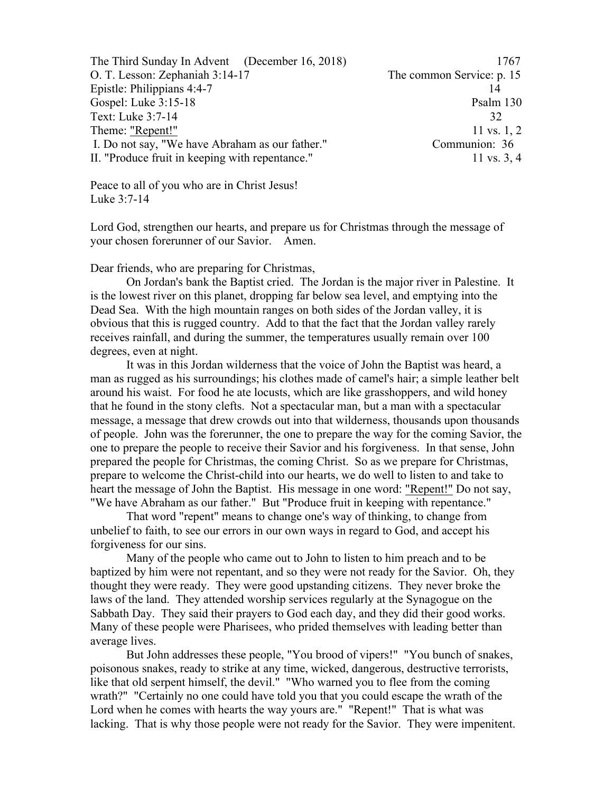The Third Sunday In Advent (December 16, 2018) 1767 O. T. Lesson: Zephaniah 3:14-17 The common Service: p. 15 Epistle: Philippians 4:4-7 14 Gospel: Luke 3:15-18 Psalm 130 Text: Luke 3:7-14 32 Theme: "Repent!"  $11 \text{ vs. } 1, 2$ I. Do not say, "We have Abraham as our father." Communion: 36 II. "Produce fruit in keeping with repentance." 11 vs. 3, 4

Peace to all of you who are in Christ Jesus! Luke 3:7-14

Lord God, strengthen our hearts, and prepare us for Christmas through the message of your chosen forerunner of our Savior. Amen.

Dear friends, who are preparing for Christmas,

On Jordan's bank the Baptist cried. The Jordan is the major river in Palestine. It is the lowest river on this planet, dropping far below sea level, and emptying into the Dead Sea. With the high mountain ranges on both sides of the Jordan valley, it is obvious that this is rugged country. Add to that the fact that the Jordan valley rarely receives rainfall, and during the summer, the temperatures usually remain over 100 degrees, even at night.

It was in this Jordan wilderness that the voice of John the Baptist was heard, a man as rugged as his surroundings; his clothes made of camel's hair; a simple leather belt around his waist. For food he ate locusts, which are like grasshoppers, and wild honey that he found in the stony clefts. Not a spectacular man, but a man with a spectacular message, a message that drew crowds out into that wilderness, thousands upon thousands of people. John was the forerunner, the one to prepare the way for the coming Savior, the one to prepare the people to receive their Savior and his forgiveness. In that sense, John prepared the people for Christmas, the coming Christ. So as we prepare for Christmas, prepare to welcome the Christ-child into our hearts, we do well to listen to and take to heart the message of John the Baptist. His message in one word: "Repent!" Do not say, "We have Abraham as our father." But "Produce fruit in keeping with repentance."

That word "repent" means to change one's way of thinking, to change from unbelief to faith, to see our errors in our own ways in regard to God, and accept his forgiveness for our sins.

Many of the people who came out to John to listen to him preach and to be baptized by him were not repentant, and so they were not ready for the Savior. Oh, they thought they were ready. They were good upstanding citizens. They never broke the laws of the land. They attended worship services regularly at the Synagogue on the Sabbath Day. They said their prayers to God each day, and they did their good works. Many of these people were Pharisees, who prided themselves with leading better than average lives.

But John addresses these people, "You brood of vipers!" "You bunch of snakes, poisonous snakes, ready to strike at any time, wicked, dangerous, destructive terrorists, like that old serpent himself, the devil." "Who warned you to flee from the coming wrath?" "Certainly no one could have told you that you could escape the wrath of the Lord when he comes with hearts the way yours are." "Repent!" That is what was lacking. That is why those people were not ready for the Savior. They were impenitent.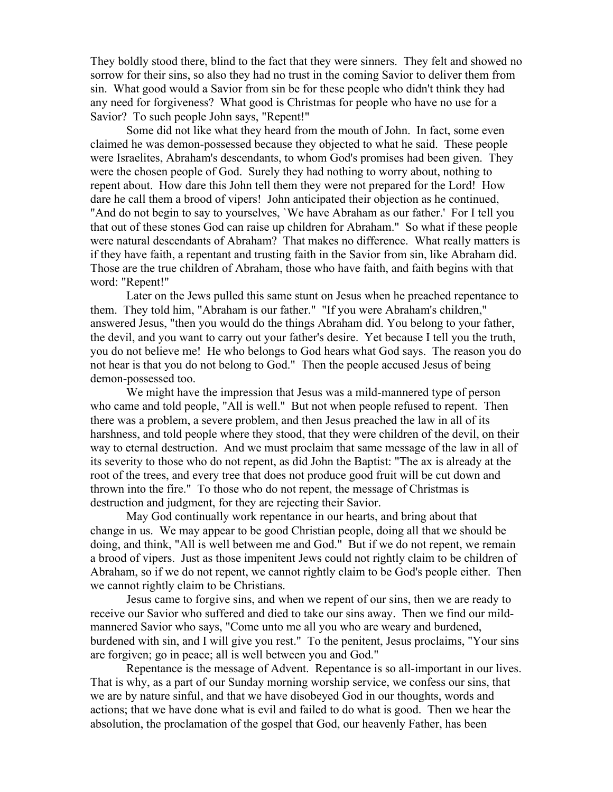They boldly stood there, blind to the fact that they were sinners. They felt and showed no sorrow for their sins, so also they had no trust in the coming Savior to deliver them from sin. What good would a Savior from sin be for these people who didn't think they had any need for forgiveness? What good is Christmas for people who have no use for a Savior? To such people John says, "Repent!"

Some did not like what they heard from the mouth of John. In fact, some even claimed he was demon-possessed because they objected to what he said. These people were Israelites, Abraham's descendants, to whom God's promises had been given. They were the chosen people of God. Surely they had nothing to worry about, nothing to repent about. How dare this John tell them they were not prepared for the Lord! How dare he call them a brood of vipers! John anticipated their objection as he continued, "And do not begin to say to yourselves, `We have Abraham as our father.' For I tell you that out of these stones God can raise up children for Abraham." So what if these people were natural descendants of Abraham? That makes no difference. What really matters is if they have faith, a repentant and trusting faith in the Savior from sin, like Abraham did. Those are the true children of Abraham, those who have faith, and faith begins with that word: "Repent!"

Later on the Jews pulled this same stunt on Jesus when he preached repentance to them. They told him, "Abraham is our father." "If you were Abraham's children," answered Jesus, "then you would do the things Abraham did. You belong to your father, the devil, and you want to carry out your father's desire. Yet because I tell you the truth, you do not believe me! He who belongs to God hears what God says. The reason you do not hear is that you do not belong to God." Then the people accused Jesus of being demon-possessed too.

We might have the impression that Jesus was a mild-mannered type of person who came and told people, "All is well." But not when people refused to repent. Then there was a problem, a severe problem, and then Jesus preached the law in all of its harshness, and told people where they stood, that they were children of the devil, on their way to eternal destruction. And we must proclaim that same message of the law in all of its severity to those who do not repent, as did John the Baptist: "The ax is already at the root of the trees, and every tree that does not produce good fruit will be cut down and thrown into the fire." To those who do not repent, the message of Christmas is destruction and judgment, for they are rejecting their Savior.

May God continually work repentance in our hearts, and bring about that change in us. We may appear to be good Christian people, doing all that we should be doing, and think, "All is well between me and God." But if we do not repent, we remain a brood of vipers. Just as those impenitent Jews could not rightly claim to be children of Abraham, so if we do not repent, we cannot rightly claim to be God's people either. Then we cannot rightly claim to be Christians.

Jesus came to forgive sins, and when we repent of our sins, then we are ready to receive our Savior who suffered and died to take our sins away. Then we find our mildmannered Savior who says, "Come unto me all you who are weary and burdened, burdened with sin, and I will give you rest." To the penitent, Jesus proclaims, "Your sins are forgiven; go in peace; all is well between you and God."

Repentance is the message of Advent. Repentance is so all-important in our lives. That is why, as a part of our Sunday morning worship service, we confess our sins, that we are by nature sinful, and that we have disobeyed God in our thoughts, words and actions; that we have done what is evil and failed to do what is good. Then we hear the absolution, the proclamation of the gospel that God, our heavenly Father, has been